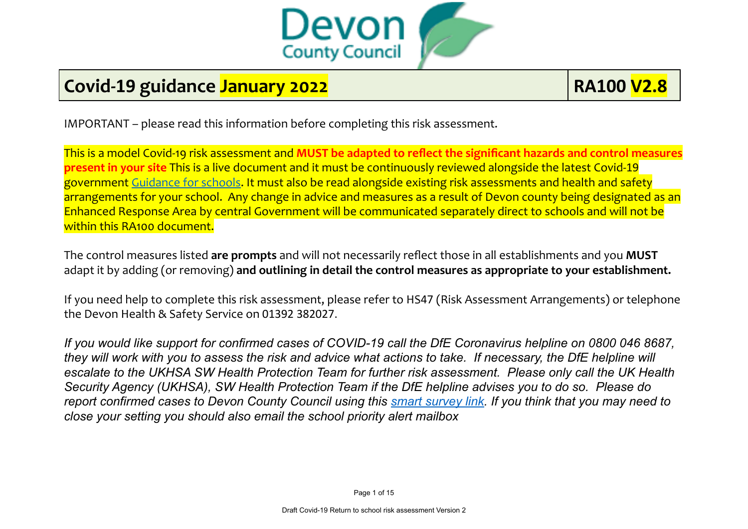

## **Covid-19 guidance January 2022 RA100 V2.8**

IMPORTANT – please read this information before completing this risk assessment.

This is a model Covid-19 risk assessment and **MUST be adapted to reflect the significant hazards and control measures present in your site** This is a live document and it must be continuously reviewed alongside the latest Covid-19 government [Guidance](https://eur02.safelinks.protection.outlook.com/?url=https%3A%2F%2Fwww.gov.uk%2Fgovernment%2Fcollections%2Fguidance-for-schools-coronavirus-covid-19%3Futm_source%3D09%2520July%25202021%2520C19%26utm_medium%3DDaily%2520Email%2520C19%26utm_campaign%3DDfE%2520C19&data=04%7C01%7Cmartin.bevan%40devon.gov.uk%7C80359a25dfd64640efcd08d945376a2d%7C8da13783cb68443fbb4b997f77fd5bfb%7C0%7C0%7C637616926572103918%7CUnknown%7CTWFpbGZsb3d8eyJWIjoiMC4wLjAwMDAiLCJQIjoiV2luMzIiLCJBTiI6Ik1haWwiLCJXVCI6Mn0%3D%7C3000&sdata=CFWaT9A5w6TYm2xxUi4fdUP%2BB7AYZHg3nkPHrECEzzI%3D&reserved=0) for schools. It must also be read alongside existing risk assessments and health and safety arrangements for your school. Any change in advice and measures as a result of Devon county being designated as an Enhanced Response Area by central Government will be communicated separately direct to schools and will not be within this RA100 document.

The control measures listed **are prompts** and will not necessarily reflect those in all establishments and you **MUST** adapt it by adding (or removing) **and outlining in detail the control measures as appropriate to your establishment.**

If you need help to complete this risk assessment, please refer to HS47 (Risk Assessment Arrangements) or telephone the Devon Health & Safety Service on 01392 382027.

If you would like support for confirmed cases of COVID-19 call the DfE Coronavirus helpline on 0800 046 8687. they will work with you to assess the risk and advice what actions to take. If necessary, the DfE helpline will escalate to the UKHSA SW Health Protection Team for further risk assessment. Please only call the UK Health Security Agency (UKHSA), SW Health Protection Team if the DfE helpline advises you to do so. Please do report confirmed cases to Devon County Council using this smart [survey](https://www.smartsurvey.co.uk/s/Covid19NotificationTestResults/) link. If you think that you may need to *close your setting you should also email the school priority alert mailbox*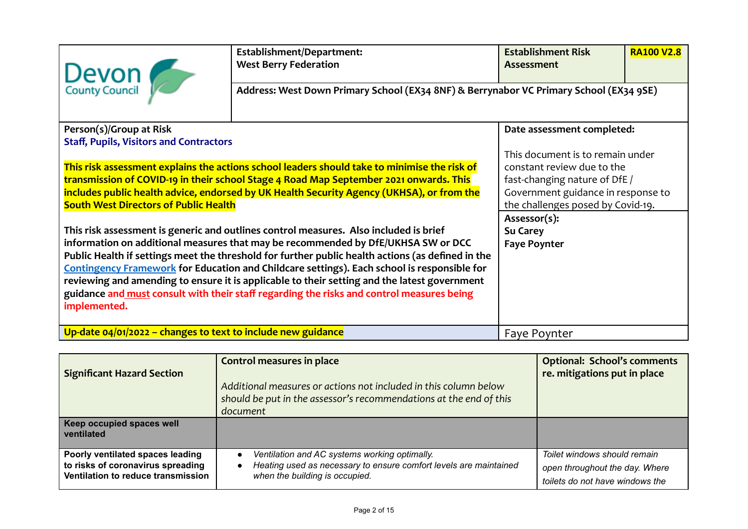| Devon                                                                                                                                                                                                                                                                                                                                                                                                                                                                                                                                                                                              | Establishment/Department:<br><b>West Berry Federation</b>                              | <b>Establishment Risk</b><br>Assessment                                                                                                                                    | <b>RA100 V2.8</b> |  |
|----------------------------------------------------------------------------------------------------------------------------------------------------------------------------------------------------------------------------------------------------------------------------------------------------------------------------------------------------------------------------------------------------------------------------------------------------------------------------------------------------------------------------------------------------------------------------------------------------|----------------------------------------------------------------------------------------|----------------------------------------------------------------------------------------------------------------------------------------------------------------------------|-------------------|--|
|                                                                                                                                                                                                                                                                                                                                                                                                                                                                                                                                                                                                    | Address: West Down Primary School (EX34 8NF) & Berrynabor VC Primary School (EX34 9SE) |                                                                                                                                                                            |                   |  |
| Person(s)/Group at Risk<br>Date assessment completed:<br><b>Staff, Pupils, Visitors and Contractors</b>                                                                                                                                                                                                                                                                                                                                                                                                                                                                                            |                                                                                        |                                                                                                                                                                            |                   |  |
| This risk assessment explains the actions school leaders should take to minimise the risk of<br>transmission of COVID-19 in their school Stage 4 Road Map September 2021 onwards. This<br>includes public health advice, endorsed by UK Health Security Agency (UKHSA), or from the<br><b>South West Directors of Public Health</b>                                                                                                                                                                                                                                                                |                                                                                        | This document is to remain under<br>constant review due to the<br>fast-changing nature of DfE /<br>Government guidance in response to<br>the challenges posed by Covid-19. |                   |  |
| This risk assessment is generic and outlines control measures. Also included is brief<br>information on additional measures that may be recommended by DfE/UKHSA SW or DCC<br>Public Health if settings meet the threshold for further public health actions (as defined in the<br><b>Contingency Framework for Education and Childcare settings). Each school is responsible for</b><br>reviewing and amending to ensure it is applicable to their setting and the latest government<br>guidance and must consult with their staff regarding the risks and control measures being<br>implemented. |                                                                                        | Assessor(s):<br><b>Su Carey</b><br><b>Faye Poynter</b>                                                                                                                     |                   |  |
| Up-date $04/01/2022$ – changes to text to include new guidance                                                                                                                                                                                                                                                                                                                                                                                                                                                                                                                                     |                                                                                        | Faye Poynter                                                                                                                                                               |                   |  |

| <b>Significant Hazard Section</b>                                                                           | <b>Control measures in place</b><br>Additional measures or actions not included in this column below<br>should be put in the assessor's recommendations at the end of this<br>document | <b>Optional: School's comments</b><br>re. mitigations put in place                                |
|-------------------------------------------------------------------------------------------------------------|----------------------------------------------------------------------------------------------------------------------------------------------------------------------------------------|---------------------------------------------------------------------------------------------------|
| Keep occupied spaces well<br>ventilated                                                                     |                                                                                                                                                                                        |                                                                                                   |
| Poorly ventilated spaces leading<br>to risks of coronavirus spreading<br>Ventilation to reduce transmission | Ventilation and AC systems working optimally.<br>$\bullet$<br>Heating used as necessary to ensure comfort levels are maintained<br>$\bullet$<br>when the building is occupied.         | Toilet windows should remain<br>open throughout the day. Where<br>toilets do not have windows the |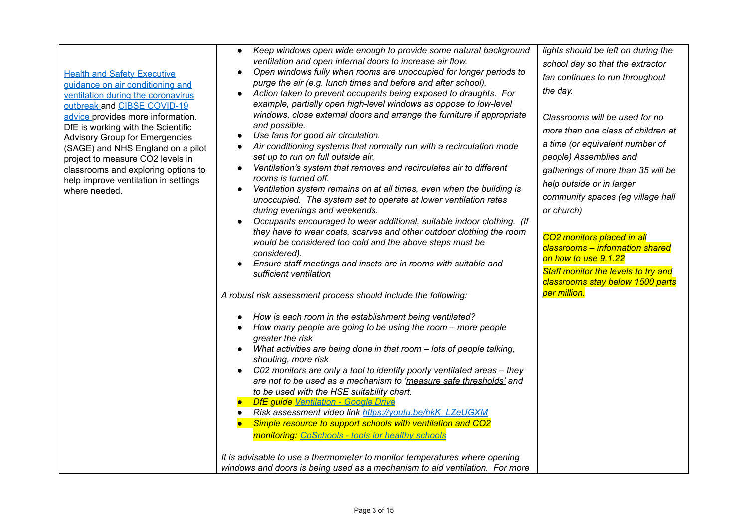| <b>Health and Safety Executive</b><br>guidance on air conditioning and<br>ventilation during the coronavirus<br>outbreak and CIBSE COVID-19<br>advice provides more information.<br>DfE is working with the Scientific<br><b>Advisory Group for Emergencies</b><br>(SAGE) and NHS England on a pilot<br>project to measure CO2 levels in<br>classrooms and exploring options to<br>help improve ventilation in settings<br>where needed. | Keep windows open wide enough to provide some natural background<br>$\bullet$<br>ventilation and open internal doors to increase air flow.<br>Open windows fully when rooms are unoccupied for longer periods to<br>$\bullet$<br>purge the air (e.g. lunch times and before and after school).<br>Action taken to prevent occupants being exposed to draughts. For<br>$\bullet$<br>example, partially open high-level windows as oppose to low-level<br>windows, close external doors and arrange the furniture if appropriate<br>and possible.<br>Use fans for good air circulation.<br>$\bullet$<br>Air conditioning systems that normally run with a recirculation mode<br>$\bullet$<br>set up to run on full outside air.<br>Ventilation's system that removes and recirculates air to different<br>$\bullet$<br>rooms is turned off.<br>Ventilation system remains on at all times, even when the building is<br>$\bullet$<br>unoccupied. The system set to operate at lower ventilation rates<br>during evenings and weekends.<br>Occupants encouraged to wear additional, suitable indoor clothing. (If<br>they have to wear coats, scarves and other outdoor clothing the room<br>would be considered too cold and the above steps must be<br>considered).<br>Ensure staff meetings and insets are in rooms with suitable and<br>sufficient ventilation<br>A robust risk assessment process should include the following:<br>How is each room in the establishment being ventilated?<br>$\bullet$<br>How many people are going to be using the room – more people<br>$\bullet$<br>greater the risk<br>What activities are being done in that room - lots of people talking,<br>$\bullet$<br>shouting, more risk<br>C02 monitors are only a tool to identify poorly ventilated areas - they<br>$\bullet$<br>are not to be used as a mechanism to 'measure safe thresholds' and<br>to be used with the HSE suitability chart.<br>DfE guide Ventilation - Google Drive<br>Risk assessment video link https://youtu.be/hkK_LZeUGXM<br>$\bullet$<br>Simple resource to support schools with ventilation and CO2<br>$\bullet$<br><b>monitoring: CoSchools - tools for healthy schools</b><br>It is advisable to use a thermometer to monitor temperatures where opening<br>windows and doors is being used as a mechanism to aid ventilation. For more | lights should be left on during the<br>school day so that the extractor<br>fan continues to run throughout<br>the day.<br>Classrooms will be used for no<br>more than one class of children at<br>a time (or equivalent number of<br>people) Assemblies and<br>gatherings of more than 35 will be<br>help outside or in larger<br>community spaces (eg village hall<br>or church)<br>CO <sub>2</sub> monitors placed in all<br>classrooms - information shared<br>on how to use 9.1.22<br>Staff monitor the levels to try and<br>classrooms stay below 1500 parts<br>per million. |
|------------------------------------------------------------------------------------------------------------------------------------------------------------------------------------------------------------------------------------------------------------------------------------------------------------------------------------------------------------------------------------------------------------------------------------------|----------------------------------------------------------------------------------------------------------------------------------------------------------------------------------------------------------------------------------------------------------------------------------------------------------------------------------------------------------------------------------------------------------------------------------------------------------------------------------------------------------------------------------------------------------------------------------------------------------------------------------------------------------------------------------------------------------------------------------------------------------------------------------------------------------------------------------------------------------------------------------------------------------------------------------------------------------------------------------------------------------------------------------------------------------------------------------------------------------------------------------------------------------------------------------------------------------------------------------------------------------------------------------------------------------------------------------------------------------------------------------------------------------------------------------------------------------------------------------------------------------------------------------------------------------------------------------------------------------------------------------------------------------------------------------------------------------------------------------------------------------------------------------------------------------------------------------------------------------------------------------------------------------------------------------------------------------------------------------------------------------------------------------------------------------------------------------------------------------------------------------------------------------------------------------------------------------------------------------------------------------------------------------------------------------------------------------------------------------|-----------------------------------------------------------------------------------------------------------------------------------------------------------------------------------------------------------------------------------------------------------------------------------------------------------------------------------------------------------------------------------------------------------------------------------------------------------------------------------------------------------------------------------------------------------------------------------|
|------------------------------------------------------------------------------------------------------------------------------------------------------------------------------------------------------------------------------------------------------------------------------------------------------------------------------------------------------------------------------------------------------------------------------------------|----------------------------------------------------------------------------------------------------------------------------------------------------------------------------------------------------------------------------------------------------------------------------------------------------------------------------------------------------------------------------------------------------------------------------------------------------------------------------------------------------------------------------------------------------------------------------------------------------------------------------------------------------------------------------------------------------------------------------------------------------------------------------------------------------------------------------------------------------------------------------------------------------------------------------------------------------------------------------------------------------------------------------------------------------------------------------------------------------------------------------------------------------------------------------------------------------------------------------------------------------------------------------------------------------------------------------------------------------------------------------------------------------------------------------------------------------------------------------------------------------------------------------------------------------------------------------------------------------------------------------------------------------------------------------------------------------------------------------------------------------------------------------------------------------------------------------------------------------------------------------------------------------------------------------------------------------------------------------------------------------------------------------------------------------------------------------------------------------------------------------------------------------------------------------------------------------------------------------------------------------------------------------------------------------------------------------------------------------------|-----------------------------------------------------------------------------------------------------------------------------------------------------------------------------------------------------------------------------------------------------------------------------------------------------------------------------------------------------------------------------------------------------------------------------------------------------------------------------------------------------------------------------------------------------------------------------------|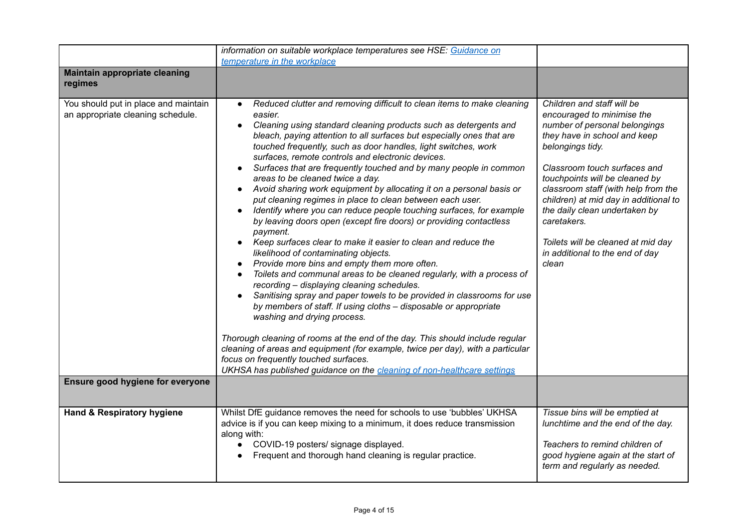|                                                                                                               | information on suitable workplace temperatures see HSE: Guidance on<br>temperature in the workplace                                                                                                                                                                                                                                                                                                                                                                                                                                                                                                                                                                                                                                                                                                                                                                                                                                                                                                                                                                                                                                                                                                                                                                                                                                                                                                                                                                                                                                                                                |                                                                                                                                                                                                                                                                                                                                                                                                                                   |
|---------------------------------------------------------------------------------------------------------------|------------------------------------------------------------------------------------------------------------------------------------------------------------------------------------------------------------------------------------------------------------------------------------------------------------------------------------------------------------------------------------------------------------------------------------------------------------------------------------------------------------------------------------------------------------------------------------------------------------------------------------------------------------------------------------------------------------------------------------------------------------------------------------------------------------------------------------------------------------------------------------------------------------------------------------------------------------------------------------------------------------------------------------------------------------------------------------------------------------------------------------------------------------------------------------------------------------------------------------------------------------------------------------------------------------------------------------------------------------------------------------------------------------------------------------------------------------------------------------------------------------------------------------------------------------------------------------|-----------------------------------------------------------------------------------------------------------------------------------------------------------------------------------------------------------------------------------------------------------------------------------------------------------------------------------------------------------------------------------------------------------------------------------|
| <b>Maintain appropriate cleaning</b><br>regimes                                                               |                                                                                                                                                                                                                                                                                                                                                                                                                                                                                                                                                                                                                                                                                                                                                                                                                                                                                                                                                                                                                                                                                                                                                                                                                                                                                                                                                                                                                                                                                                                                                                                    |                                                                                                                                                                                                                                                                                                                                                                                                                                   |
| You should put in place and maintain<br>an appropriate cleaning schedule.<br>Ensure good hygiene for everyone | Reduced clutter and removing difficult to clean items to make cleaning<br>$\bullet$<br>easier.<br>Cleaning using standard cleaning products such as detergents and<br>$\bullet$<br>bleach, paying attention to all surfaces but especially ones that are<br>touched frequently, such as door handles, light switches, work<br>surfaces, remote controls and electronic devices.<br>Surfaces that are frequently touched and by many people in common<br>$\bullet$<br>areas to be cleaned twice a day.<br>Avoid sharing work equipment by allocating it on a personal basis or<br>$\bullet$<br>put cleaning regimes in place to clean between each user.<br>Identify where you can reduce people touching surfaces, for example<br>by leaving doors open (except fire doors) or providing contactless<br>payment.<br>Keep surfaces clear to make it easier to clean and reduce the<br>likelihood of contaminating objects.<br>Provide more bins and empty them more often.<br>Toilets and communal areas to be cleaned regularly, with a process of<br>$\bullet$<br>recording - displaying cleaning schedules.<br>Sanitising spray and paper towels to be provided in classrooms for use<br>by members of staff. If using cloths - disposable or appropriate<br>washing and drying process.<br>Thorough cleaning of rooms at the end of the day. This should include regular<br>cleaning of areas and equipment (for example, twice per day), with a particular<br>focus on frequently touched surfaces.<br>UKHSA has published guidance on the cleaning of non-healthcare settings | Children and staff will be<br>encouraged to minimise the<br>number of personal belongings<br>they have in school and keep<br>belongings tidy.<br>Classroom touch surfaces and<br>touchpoints will be cleaned by<br>classroom staff (with help from the<br>children) at mid day in additional to<br>the daily clean undertaken by<br>caretakers.<br>Toilets will be cleaned at mid day<br>in additional to the end of day<br>clean |
| Hand & Respiratory hygiene                                                                                    | Whilst DfE guidance removes the need for schools to use 'bubbles' UKHSA<br>advice is if you can keep mixing to a minimum, it does reduce transmission<br>along with:<br>COVID-19 posters/ signage displayed.<br>$\bullet$<br>Frequent and thorough hand cleaning is regular practice.<br>$\bullet$                                                                                                                                                                                                                                                                                                                                                                                                                                                                                                                                                                                                                                                                                                                                                                                                                                                                                                                                                                                                                                                                                                                                                                                                                                                                                 | Tissue bins will be emptied at<br>lunchtime and the end of the day.<br>Teachers to remind children of<br>good hygiene again at the start of<br>term and regularly as needed.                                                                                                                                                                                                                                                      |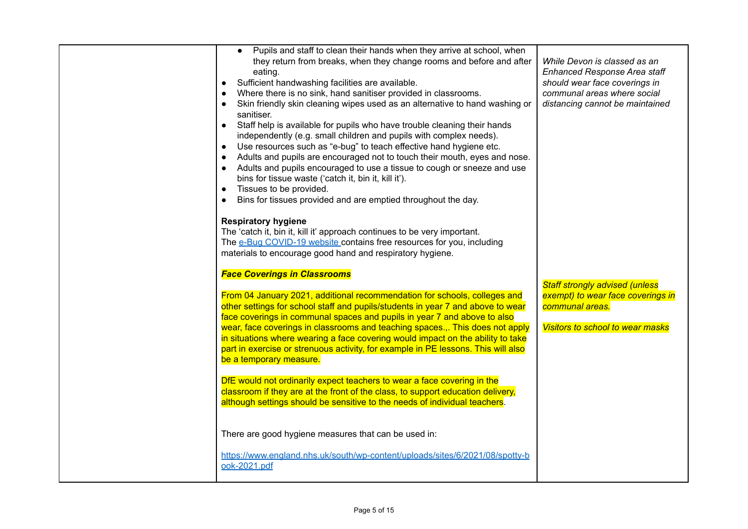| Pupils and staff to clean their hands when they arrive at school, when<br>$\bullet$<br>they return from breaks, when they change rooms and before and after<br>eating.<br>Sufficient handwashing facilities are available.<br>$\bullet$<br>Where there is no sink, hand sanitiser provided in classrooms.<br>$\bullet$<br>Skin friendly skin cleaning wipes used as an alternative to hand washing or<br>$\bullet$<br>sanitiser.<br>Staff help is available for pupils who have trouble cleaning their hands<br>independently (e.g. small children and pupils with complex needs).<br>Use resources such as "e-bug" to teach effective hand hygiene etc.<br>$\bullet$<br>Adults and pupils are encouraged not to touch their mouth, eyes and nose.<br>$\bullet$<br>Adults and pupils encouraged to use a tissue to cough or sneeze and use<br>$\bullet$<br>bins for tissue waste ('catch it, bin it, kill it').<br>Tissues to be provided.<br>$\bullet$<br>Bins for tissues provided and are emptied throughout the day.<br><b>Respiratory hygiene</b><br>The 'catch it, bin it, kill it' approach continues to be very important.<br>The e-Bug COVID-19 website contains free resources for you, including | While Devon is classed as an<br><b>Enhanced Response Area staff</b><br>should wear face coverings in<br>communal areas where social<br>distancing cannot be maintained |
|-------------------------------------------------------------------------------------------------------------------------------------------------------------------------------------------------------------------------------------------------------------------------------------------------------------------------------------------------------------------------------------------------------------------------------------------------------------------------------------------------------------------------------------------------------------------------------------------------------------------------------------------------------------------------------------------------------------------------------------------------------------------------------------------------------------------------------------------------------------------------------------------------------------------------------------------------------------------------------------------------------------------------------------------------------------------------------------------------------------------------------------------------------------------------------------------------------------|------------------------------------------------------------------------------------------------------------------------------------------------------------------------|
| materials to encourage good hand and respiratory hygiene.<br><b>Face Coverings in Classrooms</b><br>From 04 January 2021, additional recommendation for schools, colleges and<br>other settings for school staff and pupils/students in year 7 and above to wear<br>face coverings in communal spaces and pupils in year 7 and above to also<br>wear, face coverings in classrooms and teaching spaces This does not apply<br>in situations where wearing a face covering would impact on the ability to take<br>part in exercise or strenuous activity, for example in PE lessons. This will also<br>be a temporary measure.<br>DfE would not ordinarily expect teachers to wear a face covering in the<br>classroom if they are at the front of the class, to support education delivery,<br>although settings should be sensitive to the needs of individual teachers.<br>There are good hygiene measures that can be used in:<br>https://www.england.nhs.uk/south/wp-content/uploads/sites/6/2021/08/spotty-b<br>ook-2021.pdf                                                                                                                                                                           | <b>Staff strongly advised (unless</b><br>exempt) to wear face coverings in<br>communal areas.<br><b>Visitors to school to wear masks</b>                               |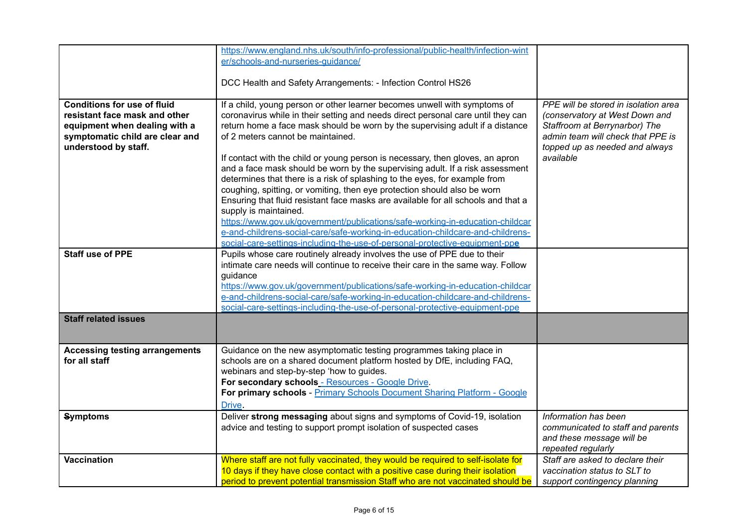|                                       | https://www.england.nhs.uk/south/info-professional/public-health/infection-wint   |                                      |
|---------------------------------------|-----------------------------------------------------------------------------------|--------------------------------------|
|                                       |                                                                                   |                                      |
|                                       | er/schools-and-nurseries-quidance/                                                |                                      |
|                                       |                                                                                   |                                      |
|                                       | DCC Health and Safety Arrangements: - Infection Control HS26                      |                                      |
|                                       |                                                                                   |                                      |
| <b>Conditions for use of fluid</b>    | If a child, young person or other learner becomes unwell with symptoms of         | PPE will be stored in isolation area |
| resistant face mask and other         | coronavirus while in their setting and needs direct personal care until they can  | (conservatory at West Down and       |
| equipment when dealing with a         | return home a face mask should be worn by the supervising adult if a distance     | Staffroom at Berrynarbor) The        |
| symptomatic child are clear and       | of 2 meters cannot be maintained.                                                 | admin team will check that PPE is    |
| understood by staff.                  |                                                                                   | topped up as needed and always       |
|                                       | If contact with the child or young person is necessary, then gloves, an apron     | available                            |
|                                       |                                                                                   |                                      |
|                                       | and a face mask should be worn by the supervising adult. If a risk assessment     |                                      |
|                                       | determines that there is a risk of splashing to the eyes, for example from        |                                      |
|                                       | coughing, spitting, or vomiting, then eye protection should also be worn          |                                      |
|                                       | Ensuring that fluid resistant face masks are available for all schools and that a |                                      |
|                                       | supply is maintained.                                                             |                                      |
|                                       | https://www.gov.uk/government/publications/safe-working-in-education-childcar     |                                      |
|                                       | e-and-childrens-social-care/safe-working-in-education-childcare-and-childrens-    |                                      |
|                                       | social-care-settings-including-the-use-of-personal-protective-equipment-ppe       |                                      |
| <b>Staff use of PPE</b>               | Pupils whose care routinely already involves the use of PPE due to their          |                                      |
|                                       | intimate care needs will continue to receive their care in the same way. Follow   |                                      |
|                                       | guidance                                                                          |                                      |
|                                       | https://www.gov.uk/government/publications/safe-working-in-education-childcar     |                                      |
|                                       | e-and-childrens-social-care/safe-working-in-education-childcare-and-childrens-    |                                      |
|                                       | social-care-settings-including-the-use-of-personal-protective-equipment-ppe       |                                      |
| <b>Staff related issues</b>           |                                                                                   |                                      |
|                                       |                                                                                   |                                      |
|                                       |                                                                                   |                                      |
|                                       |                                                                                   |                                      |
| <b>Accessing testing arrangements</b> | Guidance on the new asymptomatic testing programmes taking place in               |                                      |
| for all staff                         | schools are on a shared document platform hosted by DfE, including FAQ,           |                                      |
|                                       | webinars and step-by-step 'how to guides.                                         |                                      |
|                                       | For secondary schools - Resources - Google Drive.                                 |                                      |
|                                       | For primary schools - Primary Schools Document Sharing Platform - Google          |                                      |
|                                       | Drive.                                                                            |                                      |
| <b>Symptoms</b>                       | Deliver strong messaging about signs and symptoms of Covid-19, isolation          | Information has been                 |
|                                       | advice and testing to support prompt isolation of suspected cases                 | communicated to staff and parents    |
|                                       |                                                                                   | and these message will be            |
|                                       |                                                                                   | repeated regularly                   |
|                                       |                                                                                   |                                      |
| <b>Vaccination</b>                    | Where staff are not fully vaccinated, they would be required to self-isolate for  | Staff are asked to declare their     |
|                                       | 10 days if they have close contact with a positive case during their isolation    | vaccination status to SLT to         |
|                                       | period to prevent potential transmission Staff who are not vaccinated should be   | support contingency planning         |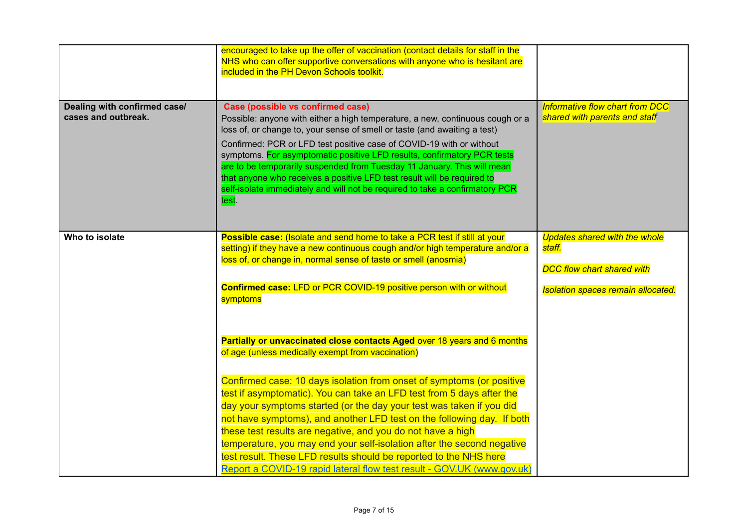|                                                     | encouraged to take up the offer of vaccination (contact details for staff in the<br>NHS who can offer supportive conversations with anyone who is hesitant are<br>included in the PH Devon Schools toolkit.                                                                                                                                                                                                                                                                                                                                                                                                                                                                                                               |                                                                                                                                  |
|-----------------------------------------------------|---------------------------------------------------------------------------------------------------------------------------------------------------------------------------------------------------------------------------------------------------------------------------------------------------------------------------------------------------------------------------------------------------------------------------------------------------------------------------------------------------------------------------------------------------------------------------------------------------------------------------------------------------------------------------------------------------------------------------|----------------------------------------------------------------------------------------------------------------------------------|
| Dealing with confirmed case/<br>cases and outbreak. | Case (possible vs confirmed case)<br>Possible: anyone with either a high temperature, a new, continuous cough or a<br>loss of, or change to, your sense of smell or taste (and awaiting a test)<br>Confirmed: PCR or LFD test positive case of COVID-19 with or without<br>symptoms. For asymptomatic positive LFD results, confirmatory PCR tests<br>are to be temporarily suspended from Tuesday 11 January. This will mean<br>that anyone who receives a positive LFD test result will be required to<br>self-isolate immediately and will not be required to take a confirmatory PCR<br>test.                                                                                                                         | Informative flow chart from DCC<br>shared with parents and staff                                                                 |
| Who to isolate                                      | Possible case: (Isolate and send home to take a PCR test if still at your<br>setting) if they have a new continuous cough and/or high temperature and/or a<br>loss of, or change in, normal sense of taste or smell (anosmia)<br>Confirmed case: LFD or PCR COVID-19 positive person with or without<br>symptoms                                                                                                                                                                                                                                                                                                                                                                                                          | <b>Updates shared with the whole</b><br>staff.<br><b>DCC flow chart shared with</b><br><b>Isolation spaces remain allocated.</b> |
|                                                     | Partially or unvaccinated close contacts Aged over 18 years and 6 months<br>of age (unless medically exempt from vaccination)<br>Confirmed case: 10 days isolation from onset of symptoms (or positive<br>test if asymptomatic). You can take an LFD test from 5 days after the<br>day your symptoms started (or the day your test was taken if you did<br>not have symptoms), and another LFD test on the following day. If both<br>these test results are negative, and you do not have a high<br>temperature, you may end your self-isolation after the second negative<br>test result. These LFD results should be reported to the NHS here<br>Report a COVID-19 rapid lateral flow test result - GOV.UK (www.gov.uk) |                                                                                                                                  |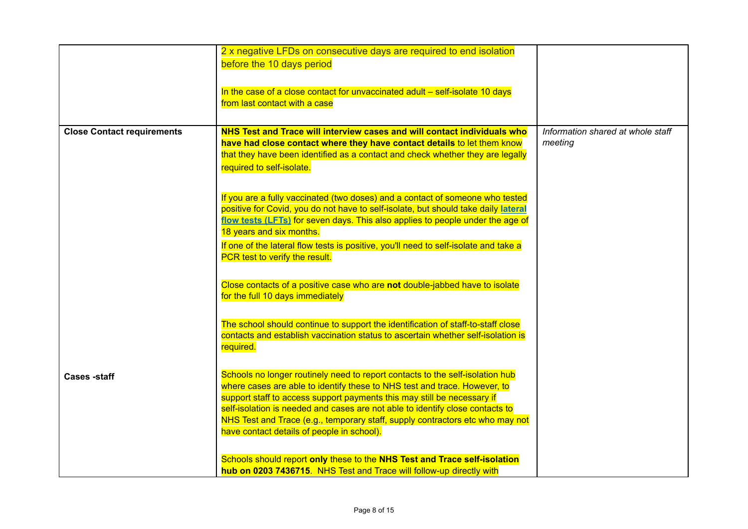|                                   | 2 x negative LFDs on consecutive days are required to end isolation<br>before the 10 days period<br>In the case of a close contact for unvaccinated adult – self-isolate 10 days<br>from last contact with a case                                                                                                                                                                                                                                     |                                   |
|-----------------------------------|-------------------------------------------------------------------------------------------------------------------------------------------------------------------------------------------------------------------------------------------------------------------------------------------------------------------------------------------------------------------------------------------------------------------------------------------------------|-----------------------------------|
| <b>Close Contact requirements</b> | NHS Test and Trace will interview cases and will contact individuals who                                                                                                                                                                                                                                                                                                                                                                              | Information shared at whole staff |
|                                   | have had close contact where they have contact details to let them know<br>that they have been identified as a contact and check whether they are legally<br>required to self-isolate.                                                                                                                                                                                                                                                                | meeting                           |
|                                   | If you are a fully vaccinated (two doses) and a contact of someone who tested<br>positive for Covid, you do not have to self-isolate, but should take daily lateral<br>flow tests (LFTs) for seven days. This also applies to people under the age of<br>18 years and six months.                                                                                                                                                                     |                                   |
|                                   | If one of the lateral flow tests is positive, you'll need to self-isolate and take a<br>PCR test to verify the result.                                                                                                                                                                                                                                                                                                                                |                                   |
|                                   | Close contacts of a positive case who are not double-jabbed have to isolate<br>for the full 10 days immediately                                                                                                                                                                                                                                                                                                                                       |                                   |
|                                   | The school should continue to support the identification of staff-to-staff close<br>contacts and establish vaccination status to ascertain whether self-isolation is<br>required.                                                                                                                                                                                                                                                                     |                                   |
| <b>Cases</b> -staff               | Schools no longer routinely need to report contacts to the self-isolation hub<br>where cases are able to identify these to NHS test and trace. However, to<br>support staff to access support payments this may still be necessary if<br>self-isolation is needed and cases are not able to identify close contacts to<br>NHS Test and Trace (e.g., temporary staff, supply contractors etc who may not<br>have contact details of people in school). |                                   |
|                                   | Schools should report only these to the NHS Test and Trace self-isolation<br>hub on 0203 7436715. NHS Test and Trace will follow-up directly with                                                                                                                                                                                                                                                                                                     |                                   |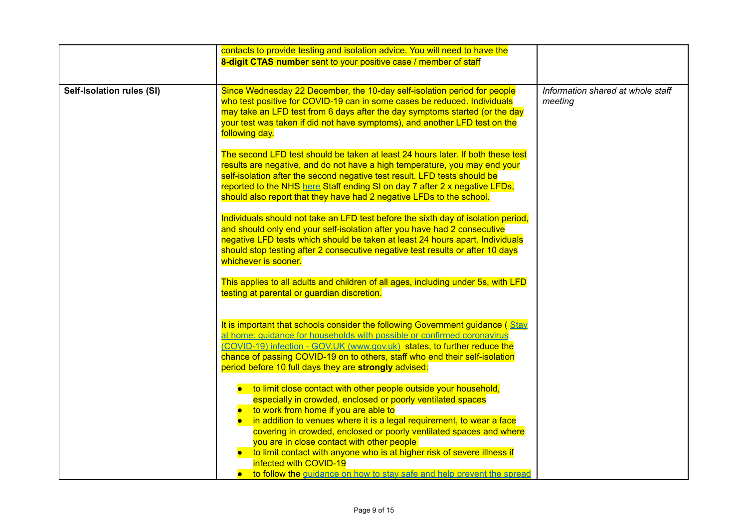|                           | contacts to provide testing and isolation advice. You will need to have the<br>8-digit CTAS number sent to your positive case / member of staff                                                                                                                                                                                                                                                                                                                                                                                                                           |                                              |
|---------------------------|---------------------------------------------------------------------------------------------------------------------------------------------------------------------------------------------------------------------------------------------------------------------------------------------------------------------------------------------------------------------------------------------------------------------------------------------------------------------------------------------------------------------------------------------------------------------------|----------------------------------------------|
| Self-Isolation rules (SI) | Since Wednesday 22 December, the 10-day self-isolation period for people<br>who test positive for COVID-19 can in some cases be reduced. Individuals<br>may take an LFD test from 6 days after the day symptoms started (or the day<br>your test was taken if did not have symptoms), and another LFD test on the<br>following day.                                                                                                                                                                                                                                       | Information shared at whole staff<br>meeting |
|                           | The second LFD test should be taken at least 24 hours later. If both these test<br>results are negative, and do not have a high temperature, you may end your<br>self-isolation after the second negative test result. LFD tests should be<br>reported to the NHS here Staff ending SI on day 7 after 2 x negative LFDs,<br>should also report that they have had 2 negative LFDs to the school.                                                                                                                                                                          |                                              |
|                           | Individuals should not take an LFD test before the sixth day of isolation period,<br>and should only end your self-isolation after you have had 2 consecutive<br>negative LFD tests which should be taken at least 24 hours apart. Individuals<br>should stop testing after 2 consecutive negative test results or after 10 days<br>whichever is sooner.                                                                                                                                                                                                                  |                                              |
|                           | This applies to all adults and children of all ages, including under 5s, with LFD<br>testing at parental or guardian discretion.                                                                                                                                                                                                                                                                                                                                                                                                                                          |                                              |
|                           | It is important that schools consider the following Government guidance (Stay<br>at home: guidance for households with possible or confirmed coronavirus<br>(COVID-19) infection - GOV.UK (www.gov.uk) states, to further reduce the<br>chance of passing COVID-19 on to others, staff who end their self-isolation<br>period before 10 full days they are strongly advised:                                                                                                                                                                                              |                                              |
|                           | • to limit close contact with other people outside your household,<br>especially in crowded, enclosed or poorly ventilated spaces<br>• to work from home if you are able to<br>in addition to venues where it is a legal requirement, to wear a face<br>$\bullet$<br>covering in crowded, enclosed or poorly ventilated spaces and where<br>you are in close contact with other people<br>• to limit contact with anyone who is at higher risk of severe illness if<br>infected with COVID-19<br>• to follow the guidance on how to stay safe and help prevent the spread |                                              |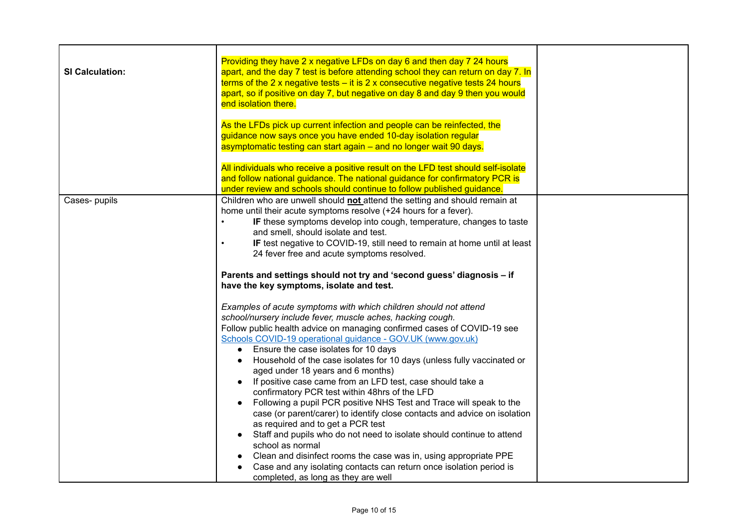| <b>SI Calculation:</b> | Providing they have 2 x negative LFDs on day 6 and then day 7 24 hours<br>apart, and the day 7 test is before attending school they can return on day 7. In<br>terms of the 2 x negative tests $-$ it is 2 x consecutive negative tests 24 hours<br>apart, so if positive on day 7, but negative on day 8 and day 9 then you would<br>end isolation there.<br>As the LFDs pick up current infection and people can be reinfected, the<br>guidance now says once you have ended 10-day isolation regular<br>asymptomatic testing can start again – and no longer wait 90 days.                                                                                                                                                                                                                                                                                                                                                                                                                                                                                                                             |
|------------------------|-----------------------------------------------------------------------------------------------------------------------------------------------------------------------------------------------------------------------------------------------------------------------------------------------------------------------------------------------------------------------------------------------------------------------------------------------------------------------------------------------------------------------------------------------------------------------------------------------------------------------------------------------------------------------------------------------------------------------------------------------------------------------------------------------------------------------------------------------------------------------------------------------------------------------------------------------------------------------------------------------------------------------------------------------------------------------------------------------------------|
|                        | All individuals who receive a positive result on the LFD test should self-isolate<br>and follow national guidance. The national guidance for confirmatory PCR is<br>under review and schools should continue to follow published guidance.                                                                                                                                                                                                                                                                                                                                                                                                                                                                                                                                                                                                                                                                                                                                                                                                                                                                |
| Cases-pupils           | Children who are unwell should not attend the setting and should remain at<br>home until their acute symptoms resolve (+24 hours for a fever).<br>IF these symptoms develop into cough, temperature, changes to taste<br>$\bullet$<br>and smell, should isolate and test.<br>IF test negative to COVID-19, still need to remain at home until at least<br>$\bullet$<br>24 fever free and acute symptoms resolved.<br>Parents and settings should not try and 'second guess' diagnosis - if                                                                                                                                                                                                                                                                                                                                                                                                                                                                                                                                                                                                                |
|                        | have the key symptoms, isolate and test.<br>Examples of acute symptoms with which children should not attend<br>school/nursery include fever, muscle aches, hacking cough.<br>Follow public health advice on managing confirmed cases of COVID-19 see<br>Schools COVID-19 operational guidance - GOV.UK (www.gov.uk)<br>Ensure the case isolates for 10 days<br>$\bullet$<br>Household of the case isolates for 10 days (unless fully vaccinated or<br>aged under 18 years and 6 months)<br>If positive case came from an LFD test, case should take a<br>$\bullet$<br>confirmatory PCR test within 48hrs of the LFD<br>Following a pupil PCR positive NHS Test and Trace will speak to the<br>$\bullet$<br>case (or parent/carer) to identify close contacts and advice on isolation<br>as required and to get a PCR test<br>Staff and pupils who do not need to isolate should continue to attend<br>school as normal<br>Clean and disinfect rooms the case was in, using appropriate PPE<br>Case and any isolating contacts can return once isolation period is<br>completed, as long as they are well |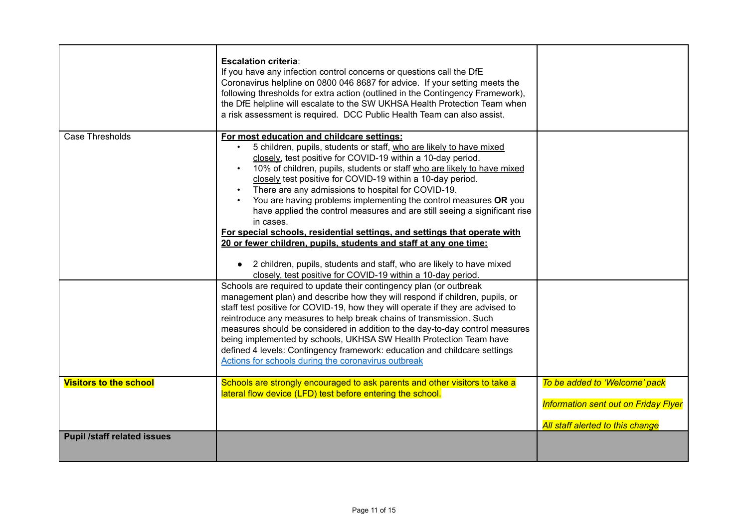|                                    | <b>Escalation criteria:</b><br>If you have any infection control concerns or questions call the DfE<br>Coronavirus helpline on 0800 046 8687 for advice. If your setting meets the<br>following thresholds for extra action (outlined in the Contingency Framework),<br>the DfE helpline will escalate to the SW UKHSA Health Protection Team when<br>a risk assessment is required. DCC Public Health Team can also assist.                                                                                                                                                                                                                                                                                                                                                                                                                                                                                                                                                                                                                                                                                                                                                                                                                                                                                                                                                                                                                                                          |                                                                                                                  |
|------------------------------------|---------------------------------------------------------------------------------------------------------------------------------------------------------------------------------------------------------------------------------------------------------------------------------------------------------------------------------------------------------------------------------------------------------------------------------------------------------------------------------------------------------------------------------------------------------------------------------------------------------------------------------------------------------------------------------------------------------------------------------------------------------------------------------------------------------------------------------------------------------------------------------------------------------------------------------------------------------------------------------------------------------------------------------------------------------------------------------------------------------------------------------------------------------------------------------------------------------------------------------------------------------------------------------------------------------------------------------------------------------------------------------------------------------------------------------------------------------------------------------------|------------------------------------------------------------------------------------------------------------------|
| Case Thresholds                    | For most education and childcare settings:<br>5 children, pupils, students or staff, who are likely to have mixed<br>$\bullet$<br>closely, test positive for COVID-19 within a 10-day period.<br>10% of children, pupils, students or staff who are likely to have mixed<br>$\bullet$<br>closely test positive for COVID-19 within a 10-day period.<br>There are any admissions to hospital for COVID-19.<br>You are having problems implementing the control measures OR you<br>have applied the control measures and are still seeing a significant rise<br>in cases.<br>For special schools, residential settings, and settings that operate with<br>20 or fewer children, pupils, students and staff at any one time:<br>2 children, pupils, students and staff, who are likely to have mixed<br>$\bullet$<br>closely, test positive for COVID-19 within a 10-day period.<br>Schools are required to update their contingency plan (or outbreak<br>management plan) and describe how they will respond if children, pupils, or<br>staff test positive for COVID-19, how they will operate if they are advised to<br>reintroduce any measures to help break chains of transmission. Such<br>measures should be considered in addition to the day-to-day control measures<br>being implemented by schools, UKHSA SW Health Protection Team have<br>defined 4 levels: Contingency framework: education and childcare settings<br>Actions for schools during the coronavirus outbreak |                                                                                                                  |
| <b>Visitors to the school</b>      | Schools are strongly encouraged to ask parents and other visitors to take a<br>lateral flow device (LFD) test before entering the school.                                                                                                                                                                                                                                                                                                                                                                                                                                                                                                                                                                                                                                                                                                                                                                                                                                                                                                                                                                                                                                                                                                                                                                                                                                                                                                                                             | To be added to 'Welcome' pack<br><b>Information sent out on Friday Flyer</b><br>All staff alerted to this change |
| <b>Pupil /staff related issues</b> |                                                                                                                                                                                                                                                                                                                                                                                                                                                                                                                                                                                                                                                                                                                                                                                                                                                                                                                                                                                                                                                                                                                                                                                                                                                                                                                                                                                                                                                                                       |                                                                                                                  |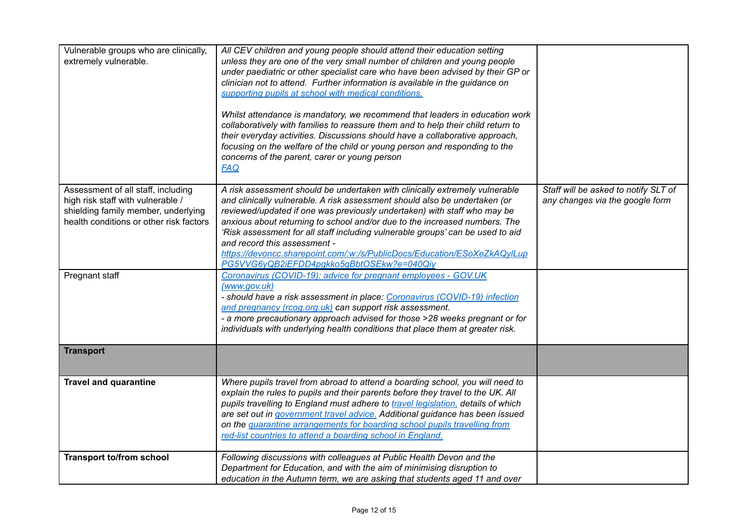| Vulnerable groups who are clinically,<br>extremely vulnerable.                                                                                            | All CEV children and young people should attend their education setting<br>unless they are one of the very small number of children and young people<br>under paediatric or other specialist care who have been advised by their GP or<br>clinician not to attend. Further information is available in the guidance on<br>supporting pupils at school with medical conditions.<br>Whilst attendance is mandatory, we recommend that leaders in education work<br>collaboratively with families to reassure them and to help their child return to<br>their everyday activities. Discussions should have a collaborative approach,<br>focusing on the welfare of the child or young person and responding to the<br>concerns of the parent, carer or young person<br><b>FAQ</b> |                                                                         |
|-----------------------------------------------------------------------------------------------------------------------------------------------------------|--------------------------------------------------------------------------------------------------------------------------------------------------------------------------------------------------------------------------------------------------------------------------------------------------------------------------------------------------------------------------------------------------------------------------------------------------------------------------------------------------------------------------------------------------------------------------------------------------------------------------------------------------------------------------------------------------------------------------------------------------------------------------------|-------------------------------------------------------------------------|
| Assessment of all staff, including<br>high risk staff with vulnerable /<br>shielding family member, underlying<br>health conditions or other risk factors | A risk assessment should be undertaken with clinically extremely vulnerable<br>and clinically vulnerable. A risk assessment should also be undertaken (or<br>reviewed/updated if one was previously undertaken) with staff who may be<br>anxious about returning to school and/or due to the increased numbers. The<br>'Risk assessment for all staff including vulnerable groups' can be used to aid<br>and record this assessment -<br>https://devoncc.sharepoint.com/:w:/s/PublicDocs/Education/ESoXeZkAQyILup<br>PG5VVG6yQB2iEFDD4pgkko5qBbtOSEkw?e=040Qiy                                                                                                                                                                                                                 | Staff will be asked to notify SLT of<br>any changes via the google form |
| Pregnant staff                                                                                                                                            | Coronavirus (COVID-19): advice for pregnant employees - GOV.UK<br>(www.gov.uk)<br>- should have a risk assessment in place: Coronavirus (COVID-19) infection<br>and pregnancy (rcog.org.uk) can support risk assessment.<br>- a more precautionary approach advised for those >28 weeks pregnant or for<br>individuals with underlying health conditions that place them at greater risk.                                                                                                                                                                                                                                                                                                                                                                                      |                                                                         |
| <b>Transport</b>                                                                                                                                          |                                                                                                                                                                                                                                                                                                                                                                                                                                                                                                                                                                                                                                                                                                                                                                                |                                                                         |
| <b>Travel and quarantine</b>                                                                                                                              | Where pupils travel from abroad to attend a boarding school, you will need to<br>explain the rules to pupils and their parents before they travel to the UK. All<br>pupils travelling to England must adhere to travel legislation, details of which<br>are set out in government travel advice. Additional guidance has been issued<br>on the quarantine arrangements for boarding school pupils travelling from<br>red-list countries to attend a boarding school in England.                                                                                                                                                                                                                                                                                                |                                                                         |
| <b>Transport to/from school</b>                                                                                                                           | Following discussions with colleagues at Public Health Devon and the<br>Department for Education, and with the aim of minimising disruption to<br>education in the Autumn term, we are asking that students aged 11 and over                                                                                                                                                                                                                                                                                                                                                                                                                                                                                                                                                   |                                                                         |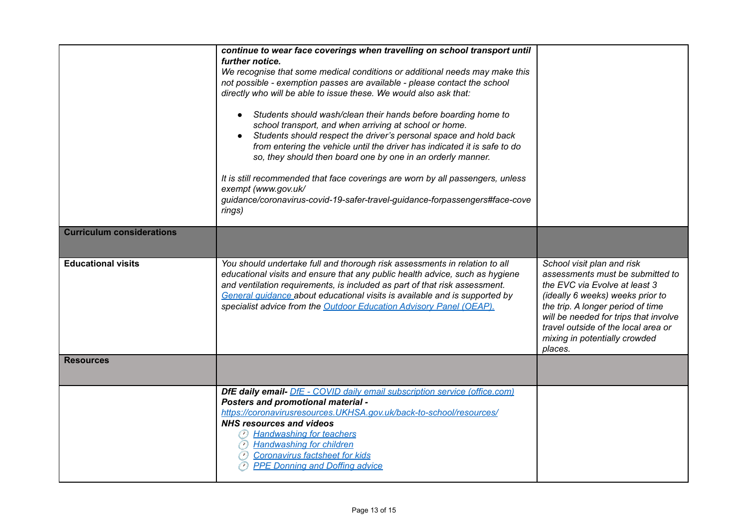|                                  | continue to wear face coverings when travelling on school transport until<br>further notice.<br>We recognise that some medical conditions or additional needs may make this<br>not possible - exemption passes are available - please contact the school<br>directly who will be able to issue these. We would also ask that:<br>Students should wash/clean their hands before boarding home to<br>$\bullet$<br>school transport, and when arriving at school or home.<br>Students should respect the driver's personal space and hold back<br>from entering the vehicle until the driver has indicated it is safe to do<br>so, they should then board one by one in an orderly manner.<br>It is still recommended that face coverings are worn by all passengers, unless<br>exempt (www.gov.uk/<br>guidance/coronavirus-covid-19-safer-travel-guidance-forpassengers#face-cove<br>rings) |                                                                                                                                                                                                                                                                                                      |
|----------------------------------|-------------------------------------------------------------------------------------------------------------------------------------------------------------------------------------------------------------------------------------------------------------------------------------------------------------------------------------------------------------------------------------------------------------------------------------------------------------------------------------------------------------------------------------------------------------------------------------------------------------------------------------------------------------------------------------------------------------------------------------------------------------------------------------------------------------------------------------------------------------------------------------------|------------------------------------------------------------------------------------------------------------------------------------------------------------------------------------------------------------------------------------------------------------------------------------------------------|
| <b>Curriculum considerations</b> |                                                                                                                                                                                                                                                                                                                                                                                                                                                                                                                                                                                                                                                                                                                                                                                                                                                                                           |                                                                                                                                                                                                                                                                                                      |
| <b>Educational visits</b>        | You should undertake full and thorough risk assessments in relation to all<br>educational visits and ensure that any public health advice, such as hygiene<br>and ventilation requirements, is included as part of that risk assessment.<br>General quidance about educational visits is available and is supported by<br>specialist advice from the Outdoor Education Advisory Panel (OEAP).                                                                                                                                                                                                                                                                                                                                                                                                                                                                                             | School visit plan and risk<br>assessments must be submitted to<br>the EVC via Evolve at least 3<br>(ideally 6 weeks) weeks prior to<br>the trip. A longer period of time<br>will be needed for trips that involve<br>travel outside of the local area or<br>mixing in potentially crowded<br>places. |
| <b>Resources</b>                 |                                                                                                                                                                                                                                                                                                                                                                                                                                                                                                                                                                                                                                                                                                                                                                                                                                                                                           |                                                                                                                                                                                                                                                                                                      |
|                                  | <b>DfE daily email-</b> DfE - COVID daily email subscription service (office.com)<br>Posters and promotional material -<br>https://coronavirusresources.UKHSA.gov.uk/back-to-school/resources/<br><b>NHS resources and videos</b><br><b>B</b> Handwashing for teachers<br><b>Handwashing for children</b><br>$\left( r\right)$<br><b>Coronavirus factsheet for kids</b><br><b>PPE Donning and Doffing advice</b>                                                                                                                                                                                                                                                                                                                                                                                                                                                                          |                                                                                                                                                                                                                                                                                                      |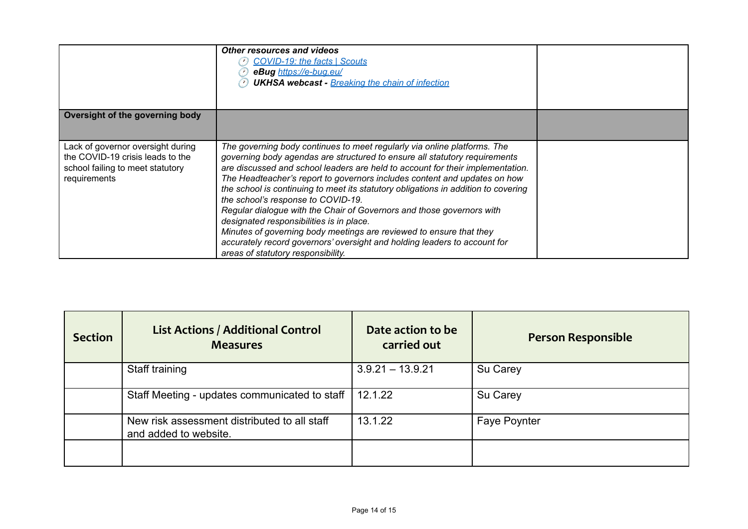|                                                                                                                           | <b>Other resources and videos</b><br><b>COVID-19: the facts   Scouts</b><br>eBug https://e-bug.eu/<br><b>UKHSA webcast - Breaking the chain of infection</b>                                                                                                                                                                                                                                                                                                                                                                                                                                                                                                                                                                                                     |  |
|---------------------------------------------------------------------------------------------------------------------------|------------------------------------------------------------------------------------------------------------------------------------------------------------------------------------------------------------------------------------------------------------------------------------------------------------------------------------------------------------------------------------------------------------------------------------------------------------------------------------------------------------------------------------------------------------------------------------------------------------------------------------------------------------------------------------------------------------------------------------------------------------------|--|
| Oversight of the governing body                                                                                           |                                                                                                                                                                                                                                                                                                                                                                                                                                                                                                                                                                                                                                                                                                                                                                  |  |
| Lack of governor oversight during<br>the COVID-19 crisis leads to the<br>school failing to meet statutory<br>requirements | The governing body continues to meet regularly via online platforms. The<br>governing body agendas are structured to ensure all statutory requirements<br>are discussed and school leaders are held to account for their implementation.<br>The Headteacher's report to governors includes content and updates on how<br>the school is continuing to meet its statutory obligations in addition to covering<br>the school's response to COVID-19.<br>Regular dialogue with the Chair of Governors and those governors with<br>designated responsibilities is in place.<br>Minutes of governing body meetings are reviewed to ensure that they<br>accurately record governors' oversight and holding leaders to account for<br>areas of statutory responsibility. |  |

| <b>Section</b> | <b>List Actions / Additional Control</b><br><b>Measures</b>           | Date action to be<br>carried out | <b>Person Responsible</b> |
|----------------|-----------------------------------------------------------------------|----------------------------------|---------------------------|
|                | Staff training                                                        | $3.9.21 - 13.9.21$               | Su Carey                  |
|                | Staff Meeting - updates communicated to staff                         | 12.1.22                          | Su Carey                  |
|                | New risk assessment distributed to all staff<br>and added to website. | 13.1.22                          | Faye Poynter              |
|                |                                                                       |                                  |                           |